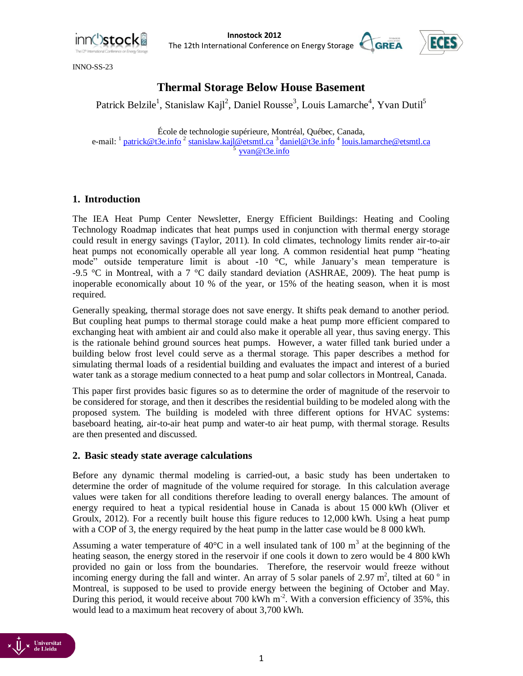

**Innostock 2012**<br> **IDES**<br> **IDES** The 12th International Conference on Energy Storage



INNO-SS-23

# **Thermal Storage Below House Basement**

Patrick Belzile<sup>1</sup>, Stanislaw Kajl<sup>2</sup>, Daniel Rousse<sup>3</sup>, Louis Lamarche<sup>4</sup>, Yvan Dutil<sup>5</sup>

École de technologie supérieure, Montréal, Québec, Canada, e-mail: <sup>1</sup> [patrick@t3e.info](mailto:patrick@t3e.info) <sup>2</sup> [stanislaw.kajl@etsmtl.ca](mailto:stanislaw.kajl@etsmtl.ca) <sup>3</sup> [daniel@t3e.info](mailto:daniel@t3e.info) <sup>4</sup> [louis.lamarche@etsmtl.ca](mailto:louis.lamarche@etsmtl.ca) <sup>5</sup>[yvan@t3e.info](mailto:yvan@t3e.info)

# **1. Introduction**

The IEA Heat Pump Center Newsletter, Energy Efficient Buildings: Heating and Cooling Technology Roadmap indicates that heat pumps used in conjunction with thermal energy storage could result in energy savings [\(Taylor, 2011\)](#page-10-0). In cold climates, technology limits render air-to-air heat pumps not economically operable all year long. A common residential heat pump "heating mode" outside temperature limit is about  $-10$  °C, while January's mean temperature is -9.5 °C in Montreal, with a 7 °C daily standard deviation [\(ASHRAE, 2009\)](#page-10-1). The heat pump is inoperable economically about 10 % of the year, or 15% of the heating season, when it is most required.

Generally speaking, thermal storage does not save energy. It shifts peak demand to another period. But coupling heat pumps to thermal storage could make a heat pump more efficient compared to exchanging heat with ambient air and could also make it operable all year, thus saving energy. This is the rationale behind ground sources heat pumps. However, a water filled tank buried under a building below frost level could serve as a thermal storage. This paper describes a method for simulating thermal loads of a residential building and evaluates the impact and interest of a buried water tank as a storage medium connected to a heat pump and solar collectors in Montreal, Canada.

This paper first provides basic figures so as to determine the order of magnitude of the reservoir to be considered for storage, and then it describes the residential building to be modeled along with the proposed system. The building is modeled with three different options for HVAC systems: baseboard heating, air-to-air heat pump and water-to air heat pump, with thermal storage. Results are then presented and discussed.

## **2. Basic steady state average calculations**

Before any dynamic thermal modeling is carried-out, a basic study has been undertaken to determine the order of magnitude of the volume required for storage. In this calculation average values were taken for all conditions therefore leading to overall energy balances. The amount of energy required to heat a typical residential house in Canada is about 15 000 kWh [\(Oliver et](#page-10-2)  [Groulx, 2012\)](#page-10-2). For a recently built house this figure reduces to 12,000 kWh. Using a heat pump with a COP of 3, the energy required by the heat pump in the latter case would be 8 000 kWh.

Assuming a water temperature of 40 $^{\circ}$ C in a well insulated tank of 100 m<sup>3</sup> at the beginning of the heating season, the energy stored in the reservoir if one cools it down to zero would be 4 800 kWh provided no gain or loss from the boundaries. Therefore, the reservoir would freeze without incoming energy during the fall and winter. An array of 5 solar panels of 2.97 m<sup>2</sup>, tilted at 60 $^{\circ}$  in Montreal, is supposed to be used to provide energy between the begining of October and May. During this period, it would receive about 700 kWh m<sup>-2</sup>. With a conversion efficiency of 35%, this would lead to a maximum heat recovery of about 3,700 kWh.

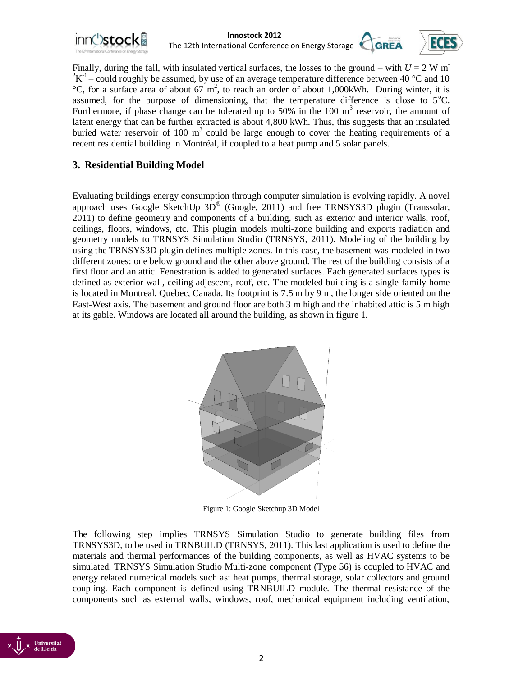





Finally, during the fall, with insulated vertical surfaces, the losses to the ground – with  $U = 2$  W m<sup>-</sup>  $2K^{-1}$  – could roughly be assumed, by use of an average temperature difference between 40 °C and 10  $^{\circ}$ C, for a surface area of about 67 m<sup>2</sup>, to reach an order of about 1,000kWh. During winter, it is assumed, for the purpose of dimensioning, that the temperature difference is close to  $5^{\circ}$ C. Furthermore, if phase change can be tolerated up to 50% in the 100  $m<sup>3</sup>$  reservoir, the amount of latent energy that can be further extracted is about 4,800 kWh. Thus, this suggests that an insulated buried water reservoir of 100  $m<sup>3</sup>$  could be large enough to cover the heating requirements of a recent residential building in Montréal, if coupled to a heat pump and 5 solar panels.

# **3. Residential Building Model**

Evaluating buildings energy consumption through computer simulation is evolving rapidly. A novel approach uses Google SketchUp 3D® [\(Google, 2011\)](#page-10-3) and free TRNSYS3D plugin [\(Transsolar,](#page-10-4)  [2011\)](#page-10-4) to define geometry and components of a building, such as exterior and interior walls, roof, ceilings, floors, windows, etc. This plugin models multi-zone building and exports radiation and geometry models to TRNSYS Simulation Studio [\(TRNSYS, 2011\)](#page-10-5). Modeling of the building by using the TRNSYS3D plugin defines multiple zones. In this case, the basement was modeled in two different zones: one below ground and the other above ground. The rest of the building consists of a first floor and an attic. Fenestration is added to generated surfaces. Each generated surfaces types is defined as exterior wall, ceiling adjescent, roof, etc. The modeled building is a single-family home is located in Montreal, Quebec, Canada. Its footprint is 7.5 m by 9 m, the longer side oriented on the East-West axis. The basement and ground floor are both 3 m high and the inhabited attic is 5 m high at its gable. Windows are located all around the building, as shown in figure 1.



Figure 1: Google Sketchup 3D Model

The following step implies TRNSYS Simulation Studio to generate building files from TRNSYS3D, to be used in TRNBUILD [\(TRNSYS, 2011\)](#page-10-5). This last application is used to define the materials and thermal performances of the building components, as well as HVAC systems to be simulated. TRNSYS Simulation Studio Multi-zone component (Type 56) is coupled to HVAC and energy related numerical models such as: heat pumps, thermal storage, solar collectors and ground coupling. Each component is defined using TRNBUILD module. The thermal resistance of the components such as external walls, windows, roof, mechanical equipment including ventilation,

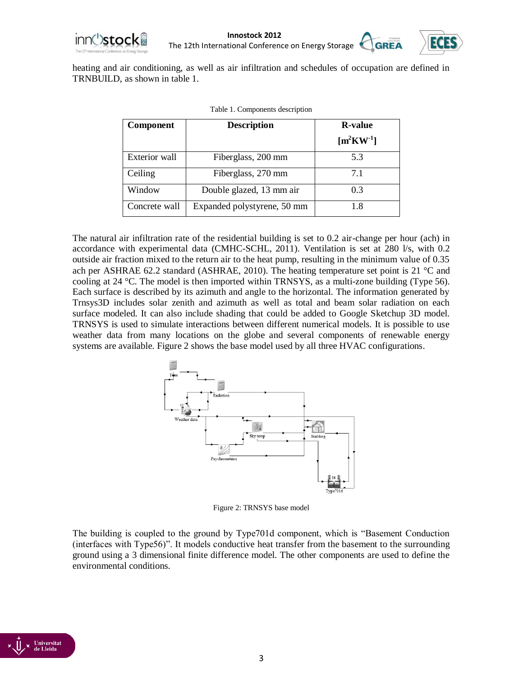



heating and air conditioning, as well as air infiltration and schedules of occupation are defined in TRNBUILD, as shown in table 1.

| <b>Component</b> | <b>Description</b>          | <b>R</b> -value<br>$\mathrm{[m^2KW^1]}$ |
|------------------|-----------------------------|-----------------------------------------|
| Exterior wall    | Fiberglass, 200 mm          | 5.3                                     |
| Ceiling          | Fiberglass, 270 mm          | 7.1                                     |
| Window           | Double glazed, 13 mm air    | 0.3                                     |
| Concrete wall    | Expanded polystyrene, 50 mm | 1.8                                     |

|  | Table 1. Components description |  |
|--|---------------------------------|--|
|  |                                 |  |

The natural air infiltration rate of the residential building is set to 0.2 air-change per hour (ach) in accordance with experimental data [\(CMHC-SCHL, 2011\)](#page-10-6). Ventilation is set at 280 l/s, with 0.2 outside air fraction mixed to the return air to the heat pump, resulting in the minimum value of 0.35 ach per ASHRAE 62.2 standard [\(ASHRAE, 2010\)](#page-10-7). The heating temperature set point is 21 °C and cooling at 24 °C. The model is then imported within TRNSYS, as a multi-zone building (Type 56). Each surface is described by its azimuth and angle to the horizontal. The information generated by Trnsys3D includes solar zenith and azimuth as well as total and beam solar radiation on each surface modeled. It can also include shading that could be added to Google Sketchup 3D model. TRNSYS is used to simulate interactions between different numerical models. It is possible to use weather data from many locations on the globe and several components of renewable energy systems are available. Figure 2 shows the base model used by all three HVAC configurations.



Figure 2: TRNSYS base model

The building is coupled to the ground by Type701d component, which is "Basement Conduction (interfaces with Type56)". It models conductive heat transfer from the basement to the surrounding ground using a 3 dimensional finite difference model. The other components are used to define the environmental conditions.

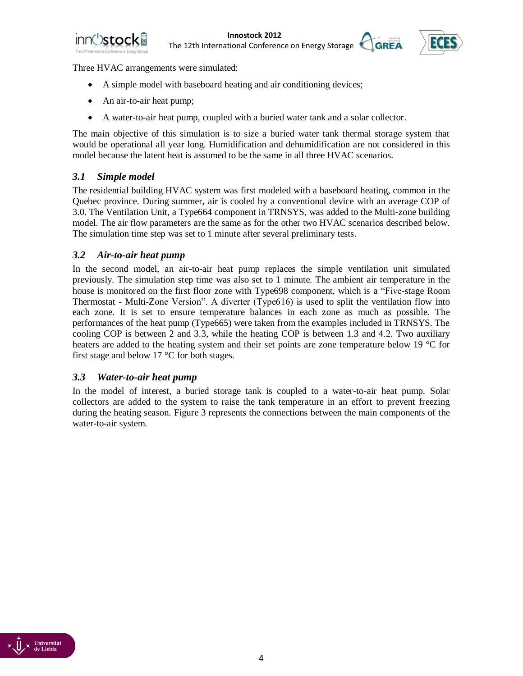



Three HVAC arrangements were simulated:

- A simple model with baseboard heating and air conditioning devices;
- An air-to-air heat pump;
- A water-to-air heat pump, coupled with a buried water tank and a solar collector.

The main objective of this simulation is to size a buried water tank thermal storage system that would be operational all year long. Humidification and dehumidification are not considered in this model because the latent heat is assumed to be the same in all three HVAC scenarios.

# *3.1 Simple model*

The residential building HVAC system was first modeled with a baseboard heating, common in the Quebec province. During summer, air is cooled by a conventional device with an average COP of 3.0. The Ventilation Unit, a Type664 component in TRNSYS, was added to the Multi-zone building model. The air flow parameters are the same as for the other two HVAC scenarios described below. The simulation time step was set to 1 minute after several preliminary tests.

### *3.2 Air-to-air heat pump*

In the second model, an air-to-air heat pump replaces the simple ventilation unit simulated previously. The simulation step time was also set to 1 minute. The ambient air temperature in the house is monitored on the first floor zone with Type698 component, which is a "Five-stage Room Thermostat - Multi-Zone Version". A diverter (Type616) is used to split the ventilation flow into each zone. It is set to ensure temperature balances in each zone as much as possible. The performances of the heat pump (Type665) were taken from the examples included in TRNSYS. The cooling COP is between 2 and 3.3, while the heating COP is between 1.3 and 4.2. Two auxiliary heaters are added to the heating system and their set points are zone temperature below 19 °C for first stage and below 17 °C for both stages.

#### *3.3 Water-to-air heat pump*

In the model of interest, a buried storage tank is coupled to a water-to-air heat pump. Solar collectors are added to the system to raise the tank temperature in an effort to prevent freezing during the heating season. Figure 3 represents the connections between the main components of the water-to-air system.

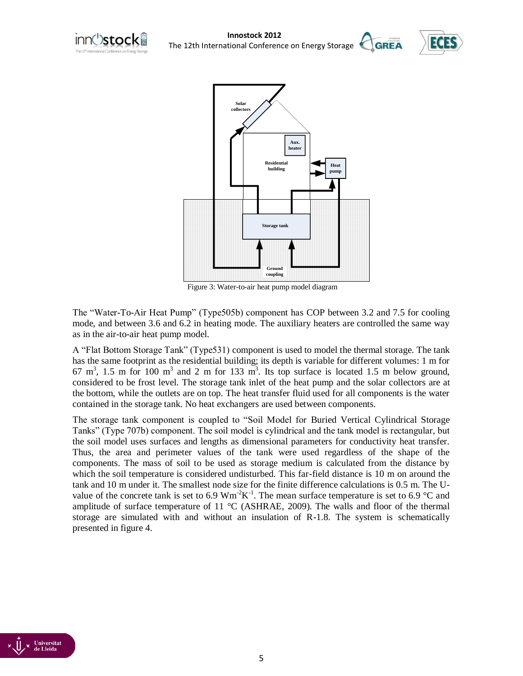



Figure 3: Water-to-air heat pump model diagram

The "Water-To-Air Heat Pump" (Type505b) component has COP between 3.2 and 7.5 for cooling mode, and between 3.6 and 6.2 in heating mode. The auxiliary heaters are controlled the same way as in the air-to-air heat pump model.

A "Flat Bottom Storage Tank" (Type531) component is used to model the thermal storage. The tank has the same footprint as the residential building; its depth is variable for different volumes: 1 m for  $67 \text{ m}^3$ , 1.5 m for 100 m<sup>3</sup> and 2 m for 133 m<sup>3</sup>. Its top surface is located 1.5 m below ground, considered to be frost level. The storage tank inlet of the heat pump and the solar collectors are at the bottom, while the outlets are on top. The heat transfer fluid used for all components is the water contained in the storage tank. No heat exchangers are used between components.

The storage tank component is coupled to "Soil Model for Buried Vertical Cylindrical Storage Tanks" (Type 707b) component. The soil model is cylindrical and the tank model is rectangular, but the soil model uses surfaces and lengths as dimensional parameters for conductivity heat transfer. Thus, the area and perimeter values of the tank were used regardless of the shape of the components. The mass of soil to be used as storage medium is calculated from the distance by which the soil temperature is considered undisturbed. This far-field distance is 10 m on around the tank and 10 m under it. The smallest node size for the finite difference calculations is 0.5 m. The Uvalue of the concrete tank is set to 6.9  $Wm^{-2}K^{-1}$ . The mean surface temperature is set to 6.9 °C and amplitude of surface temperature of 11 °C [\(ASHRAE, 2009\)](#page-10-1). The walls and floor of the thermal storage are simulated with and without an insulation of R-1.8. The system is schematically presented in figure 4.

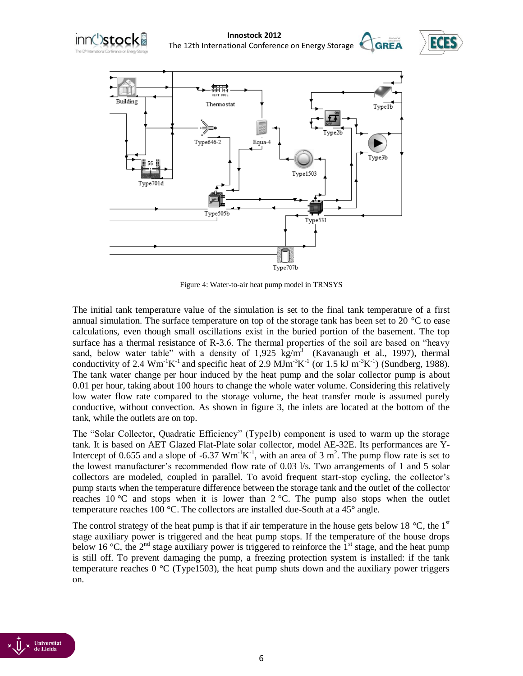





Figure 4: Water-to-air heat pump model in TRNSYS

The initial tank temperature value of the simulation is set to the final tank temperature of a first annual simulation. The surface temperature on top of the storage tank has been set to 20  $^{\circ}$ C to ease calculations, even though small oscillations exist in the buried portion of the basement. The top surface has a thermal resistance of R-3.6. The thermal properties of the soil are based on "heavy sand, below water table" with a density of  $1,925 \text{ kg/m}^3$  [\(Kavanaugh et al., 1997\)](#page-10-8), thermal conductivity of 2.4  $\text{Wm}^{-1}\text{K}^{-1}$  and specific heat of 2.9  $\text{MJm}^{-3}\text{K}^{-1}$  (or 1.5 kJ m<sup>-3</sup>K<sup>-1</sup>) [\(Sundberg, 1988\)](#page-10-9). The tank water change per hour induced by the heat pump and the solar collector pump is about 0.01 per hour, taking about 100 hours to change the whole water volume. Considering this relatively low water flow rate compared to the storage volume, the heat transfer mode is assumed purely conductive, without convection. As shown in figure 3, the inlets are located at the bottom of the tank, while the outlets are on top.

The "Solar Collector, Quadratic Efficiency" (Type1b) component is used to warm up the storage tank. It is based on AET Glazed Flat-Plate solar collector, model AE-32E. Its performances are Y-Intercept of 0.655 and a slope of -6.37  $Wm^{-1}K^{-1}$ , with an area of 3 m<sup>2</sup>. The pump flow rate is set to the lowest manufacturer's recommended flow rate of 0.03 l/s. Two arrangements of 1 and 5 solar collectors are modeled, coupled in parallel. To avoid frequent start-stop cycling, the collector's pump starts when the temperature difference between the storage tank and the outlet of the collector reaches 10  $\degree$ C and stops when it is lower than 2  $\degree$ C. The pump also stops when the outlet temperature reaches 100 °C. The collectors are installed due-South at a 45° angle.

The control strategy of the heat pump is that if air temperature in the house gets below 18  $^{\circ}$ C, the 1<sup>st</sup> stage auxiliary power is triggered and the heat pump stops. If the temperature of the house drops below 16 °C, the 2<sup>nd</sup> stage auxiliary power is triggered to reinforce the 1<sup>st</sup> stage, and the heat pump is still off. To prevent damaging the pump, a freezing protection system is installed: if the tank temperature reaches  $0^{\circ}$ C (Type1503), the heat pump shuts down and the auxiliary power triggers on.

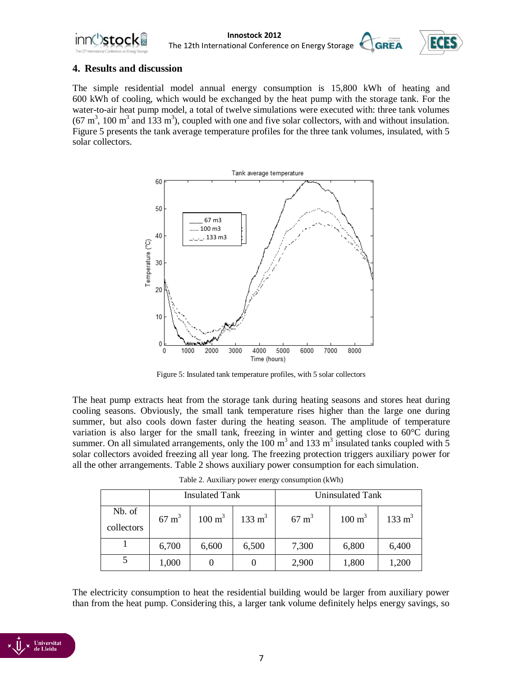



## **4. Results and discussion**

The simple residential model annual energy consumption is 15,800 kWh of heating and 600 kWh of cooling, which would be exchanged by the heat pump with the storage tank. For the water-to-air heat pump model, a total of twelve simulations were executed with: three tank volumes  $(67 \text{ m}^3, 100 \text{ m}^3 \text{ and } 133 \text{ m}^3)$ , coupled with one and five solar collectors, with and without insulation. Figure 5 presents the tank average temperature profiles for the three tank volumes, insulated, with 5 solar collectors.



Figure 5: Insulated tank temperature profiles, with 5 solar collectors

The heat pump extracts heat from the storage tank during heating seasons and stores heat during cooling seasons. Obviously, the small tank temperature rises higher than the large one during summer, but also cools down faster during the heating season. The amplitude of temperature variation is also larger for the small tank, freezing in winter and getting close to 60°C during summer. On all simulated arrangements, only the  $100 \text{ m}^3$  and  $133 \text{ m}^3$  insulated tanks coupled with 5 solar collectors avoided freezing all year long. The freezing protection triggers auxiliary power for all the other arrangements. Table 2 shows auxiliary power consumption for each simulation.

|                      | <b>Insulated Tank</b> |                   |                   | Uninsulated Tank |                   |                   |
|----------------------|-----------------------|-------------------|-------------------|------------------|-------------------|-------------------|
| Nb. of<br>collectors | $67 \text{ m}^3$      | $100 \text{ m}^3$ | $133 \text{ m}^3$ | $67 \text{ m}^3$ | $100 \text{ m}^3$ | $133 \text{ m}^3$ |
|                      | 6,700                 | 6,600             | 6,500             | 7,300            | 6,800             | 6,400             |
|                      | 1,000                 |                   |                   | 2,900            | 1,800             | 1,200             |

Table 2. Auxiliary power energy consumption (kWh)

The electricity consumption to heat the residential building would be larger from auxiliary power than from the heat pump. Considering this, a larger tank volume definitely helps energy savings, so

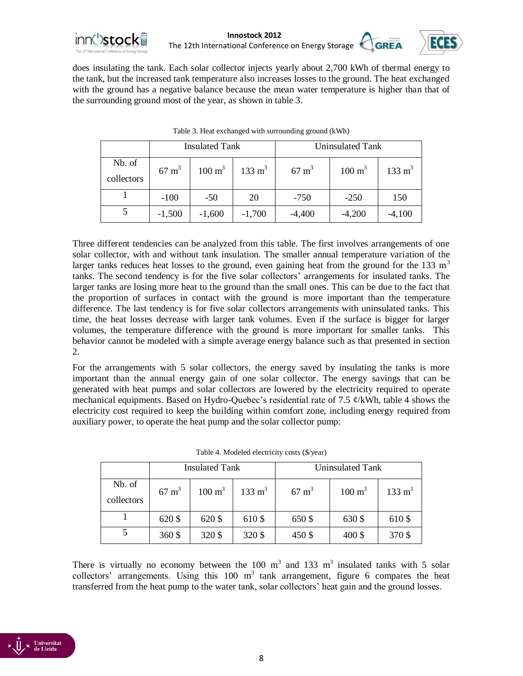



does insulating the tank. Each solar collector injects yearly about 2,700 kWh of thermal energy to the tank, but the increased tank temperature also increases losses to the ground. The heat exchanged with the ground has a negative balance because the mean water temperature is higher than that of the surrounding ground most of the year, as shown in table 3.

|                      | <b>Insulated Tank</b> |                   |                   | Uninsulated Tank |                   |                   |
|----------------------|-----------------------|-------------------|-------------------|------------------|-------------------|-------------------|
| Nb. of<br>collectors | $67 \text{ m}^3$      | $100 \text{ m}^3$ | $133 \text{ m}^3$ | $67 \text{ m}^3$ | $100 \text{ m}^3$ | $133 \text{ m}^3$ |
|                      | $-100$                | $-50$             | 20                | $-750$           | $-250$            | 150               |
|                      | $-1,500$              | $-1,600$          | $-1,700$          | $-4,400$         | $-4,200$          | $-4,100$          |

Table 3. Heat exchanged with surrounding ground (kWh)

Three different tendencies can be analyzed from this table. The first involves arrangements of one solar collector, with and without tank insulation. The smaller annual temperature variation of the larger tanks reduces heat losses to the ground, even gaining heat from the ground for the 133  $m<sup>3</sup>$ tanks. The second tendency is for the five solar collectors' arrangements for insulated tanks. The larger tanks are losing more heat to the ground than the small ones. This can be due to the fact that the proportion of surfaces in contact with the ground is more important than the temperature difference. The last tendency is for five solar collectors arrangements with uninsulated tanks. This time, the heat losses decrease with larger tank volumes. Even if the surface is bigger for larger volumes, the temperature difference with the ground is more important for smaller tanks. This behavior cannot be modeled with a simple average energy balance such as that presented in section 2.

For the arrangements with 5 solar collectors, the energy saved by insulating the tanks is more important than the annual energy gain of one solar collector. The energy savings that can be generated with heat pumps and solar collectors are lowered by the electricity required to operate mechanical equipments. Based on Hydro-Quebec's residential rate of 7.5 ¢/kWh, table 4 shows the electricity cost required to keep the building within comfort zone, including energy required from auxiliary power, to operate the heat pump and the solar collector pump:

|                      | <b>Insulated Tank</b> |                   |                   | Uninsulated Tank |                   |                   |
|----------------------|-----------------------|-------------------|-------------------|------------------|-------------------|-------------------|
| Nb. of<br>collectors | $67 \text{ m}^3$      | $100 \text{ m}^3$ | $133 \text{ m}^3$ | $67 \text{ m}^3$ | $100 \text{ m}^3$ | $133 \text{ m}^3$ |
|                      | 620 \$                | 620 \$            | 610\$             | 650 \$           | 630 \$            | 610\$             |
|                      | 360 \$                | 320\$             | 320\$             | 450 \$           | 400 \$            | 370 \$            |

|  | Table 4. Modeled electricity costs (\$/year) |  |
|--|----------------------------------------------|--|
|  |                                              |  |

There is virtually no economy between the 100  $m<sup>3</sup>$  and 133  $m<sup>3</sup>$  insulated tanks with 5 solar collectors' arrangements. Using this  $100 \text{ m}^3$  tank arrangement, figure 6 compares the heat transferred from the heat pump to the water tank, solar collectors' heat gain and the ground losses.

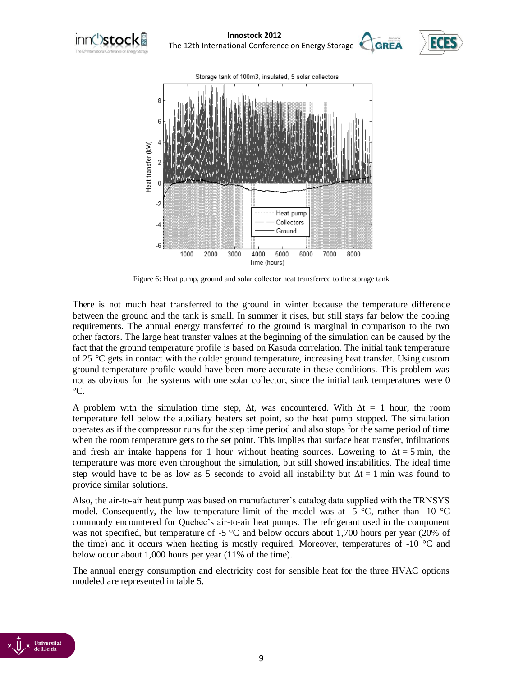





Figure 6: Heat pump, ground and solar collector heat transferred to the storage tank

There is not much heat transferred to the ground in winter because the temperature difference between the ground and the tank is small. In summer it rises, but still stays far below the cooling requirements. The annual energy transferred to the ground is marginal in comparison to the two other factors. The large heat transfer values at the beginning of the simulation can be caused by the fact that the ground temperature profile is based on Kasuda correlation. The initial tank temperature of 25 °C gets in contact with the colder ground temperature, increasing heat transfer. Using custom ground temperature profile would have been more accurate in these conditions. This problem was not as obvious for the systems with one solar collector, since the initial tank temperatures were 0  $\rm{^{\circ}C}.$ 

A problem with the simulation time step,  $\Delta t$ , was encountered. With  $\Delta t = 1$  hour, the room temperature fell below the auxiliary heaters set point, so the heat pump stopped. The simulation operates as if the compressor runs for the step time period and also stops for the same period of time when the room temperature gets to the set point. This implies that surface heat transfer, infiltrations and fresh air intake happens for 1 hour without heating sources. Lowering to  $\Delta t = 5$  min, the temperature was more even throughout the simulation, but still showed instabilities. The ideal time step would have to be as low as 5 seconds to avoid all instability but  $\Delta t = 1$  min was found to provide similar solutions.

Also, the air-to-air heat pump was based on manufacturer's catalog data supplied with the TRNSYS model. Consequently, the low temperature limit of the model was at -5  $\degree$ C, rather than -10  $\degree$ C commonly encountered for Quebec's air-to-air heat pumps. The refrigerant used in the component was not specified, but temperature of -5  $^{\circ}$ C and below occurs about 1,700 hours per year (20% of the time) and it occurs when heating is mostly required. Moreover, temperatures of  $-10$  °C and below occur about 1,000 hours per year (11% of the time).

The annual energy consumption and electricity cost for sensible heat for the three HVAC options modeled are represented in table 5.

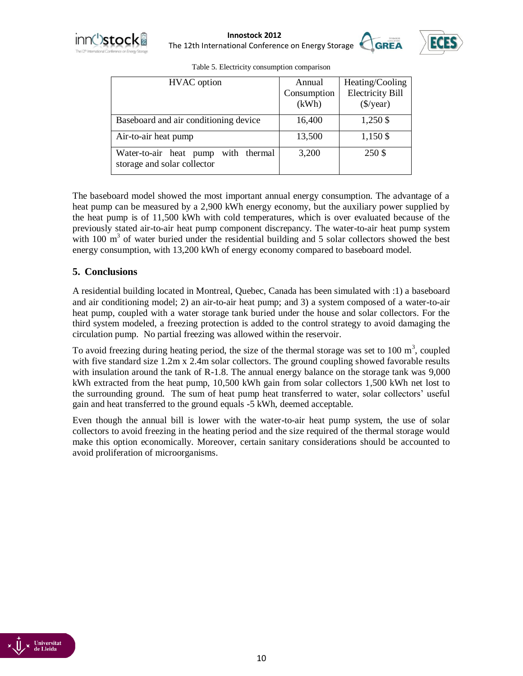

**Innostock 2012**<br> **IDES**<br> **IDES** The 12th International Conference on Energy Storage



| <b>HVAC</b> option                                                    | Annual      | Heating/Cooling           |
|-----------------------------------------------------------------------|-------------|---------------------------|
|                                                                       | Consumption | <b>Electricity Bill</b>   |
|                                                                       | (kWh)       | $(\frac{\sqrt{3}}{year})$ |
| Baseboard and air conditioning device                                 | 16,400      | 1,250 \$                  |
| Air-to-air heat pump                                                  | 13,500      | 1,150 \$                  |
| with thermal<br>Water-to-air heat pump<br>storage and solar collector | 3,200       | 250 \$                    |

Table 5. Electricity consumption comparison

The baseboard model showed the most important annual energy consumption. The advantage of a heat pump can be measured by a 2,900 kWh energy economy, but the auxiliary power supplied by the heat pump is of 11,500 kWh with cold temperatures, which is over evaluated because of the previously stated air-to-air heat pump component discrepancy. The water-to-air heat pump system with  $100 \text{ m}^3$  of water buried under the residential building and 5 solar collectors showed the best energy consumption, with 13,200 kWh of energy economy compared to baseboard model.

## **5. Conclusions**

A residential building located in Montreal, Quebec, Canada has been simulated with :1) a baseboard and air conditioning model; 2) an air-to-air heat pump; and 3) a system composed of a water-to-air heat pump, coupled with a water storage tank buried under the house and solar collectors. For the third system modeled, a freezing protection is added to the control strategy to avoid damaging the circulation pump. No partial freezing was allowed within the reservoir.

To avoid freezing during heating period, the size of the thermal storage was set to  $100 \text{ m}^3$ , coupled with five standard size 1.2m x 2.4m solar collectors. The ground coupling showed favorable results with insulation around the tank of R-1.8. The annual energy balance on the storage tank was 9,000 kWh extracted from the heat pump, 10,500 kWh gain from solar collectors 1,500 kWh net lost to the surrounding ground. The sum of heat pump heat transferred to water, solar collectors' useful gain and heat transferred to the ground equals -5 kWh, deemed acceptable.

Even though the annual bill is lower with the water-to-air heat pump system, the use of solar collectors to avoid freezing in the heating period and the size required of the thermal storage would make this option economically. Moreover, certain sanitary considerations should be accounted to avoid proliferation of microorganisms.